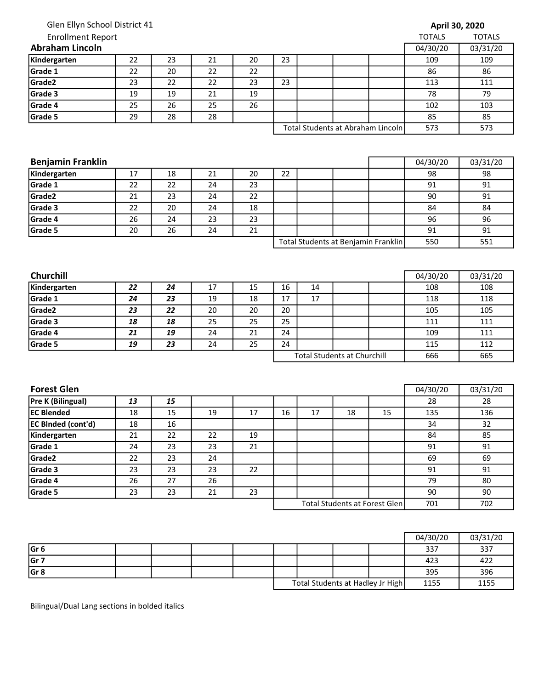|                                                                                                                                                                                            | Glen Ellyn School District 41 |                 |          |    |    |                                    |    |                                     |                       | April 30, 2020 |
|--------------------------------------------------------------------------------------------------------------------------------------------------------------------------------------------|-------------------------------|-----------------|----------|----|----|------------------------------------|----|-------------------------------------|-----------------------|----------------|
| <b>Enrollment Report</b>                                                                                                                                                                   |                               |                 |          |    |    |                                    |    |                                     | <b>TOTALS</b>         | <b>TOTALS</b>  |
| <b>Abraham Lincoln</b>                                                                                                                                                                     |                               |                 |          |    |    |                                    |    |                                     | 04/30/20              | 03/31/20       |
| Kindergarten                                                                                                                                                                               | 22                            | 23              | 21       | 20 | 23 |                                    |    |                                     | 109                   | 109            |
| Grade 1                                                                                                                                                                                    | 22                            | 20              | 22       | 22 |    |                                    |    |                                     | 86                    | 86             |
| Grade2                                                                                                                                                                                     | 23                            | 22              | 22       | 23 | 23 |                                    |    |                                     | 113                   | 111            |
| Grade 3                                                                                                                                                                                    | 19                            | 19              | 21       | 19 |    |                                    |    |                                     | 78                    | 79             |
| Grade 4                                                                                                                                                                                    | 25                            | 26              | 25       | 26 |    |                                    |    |                                     | 102                   | 103            |
| Grade 5                                                                                                                                                                                    | 29                            | 28              | 28       |    |    |                                    |    |                                     | 85                    | 85             |
|                                                                                                                                                                                            |                               |                 |          |    |    |                                    |    | Total Students at Abraham Lincoln   | 573                   | 573            |
|                                                                                                                                                                                            |                               |                 |          |    |    |                                    |    |                                     |                       |                |
|                                                                                                                                                                                            |                               |                 |          |    |    |                                    |    |                                     |                       |                |
| <b>Benjamin Franklin</b>                                                                                                                                                                   |                               |                 |          |    |    |                                    |    |                                     | 04/30/20              | 03/31/20       |
| Kindergarten                                                                                                                                                                               | 17                            | 18              | 21       | 20 | 22 |                                    |    |                                     | 98                    | 98             |
| Grade 1                                                                                                                                                                                    | 22                            | 22              | 24       | 23 |    |                                    |    |                                     | 91                    | 91             |
| Grade2                                                                                                                                                                                     | 21                            | 23              | 24       | 22 |    |                                    |    |                                     | 90                    | 91             |
| Grade 3                                                                                                                                                                                    | 22                            | 20              | 24       | 18 |    |                                    |    |                                     | 84                    | 84             |
| Grade 4                                                                                                                                                                                    | 26                            | 24              | 23       | 23 |    |                                    |    |                                     | 96                    | 96             |
| Grade 5                                                                                                                                                                                    | 20                            | 26              | 24       | 21 |    |                                    |    |                                     | 91                    | 91             |
|                                                                                                                                                                                            |                               |                 |          |    |    |                                    |    | Total Students at Benjamin Franklin | 550                   | 551            |
|                                                                                                                                                                                            |                               |                 |          |    |    |                                    |    |                                     |                       |                |
| Churchill                                                                                                                                                                                  |                               |                 |          |    |    |                                    |    |                                     | 04/30/20              | 03/31/20       |
| Kindergarten                                                                                                                                                                               | 22                            | 24              | 17       | 15 | 16 | 14                                 |    |                                     | 108                   | 108            |
| Grade 1                                                                                                                                                                                    | 24                            | 23              | 19       | 18 | 17 | 17                                 |    |                                     | 118                   | 118            |
| Grade2                                                                                                                                                                                     | 23                            | 22<br>18        | 20       | 20 | 20 |                                    |    |                                     | 105                   | 105            |
|                                                                                                                                                                                            |                               |                 | 25       | 25 | 25 |                                    |    |                                     |                       |                |
| Grade 3                                                                                                                                                                                    | 18                            |                 |          |    |    |                                    |    |                                     | 111                   | 111            |
|                                                                                                                                                                                            | 21                            | 19              | 24       | 21 | 24 |                                    |    |                                     | 109                   | 111            |
|                                                                                                                                                                                            | 19                            | 23              | 24       | 25 | 24 |                                    |    |                                     | 115                   | 112            |
|                                                                                                                                                                                            |                               |                 |          |    |    | <b>Total Students at Churchill</b> |    |                                     | 666                   | 665            |
|                                                                                                                                                                                            |                               |                 |          |    |    |                                    |    |                                     |                       |                |
|                                                                                                                                                                                            | 13                            | 15              |          |    |    |                                    |    |                                     | 04/30/20<br>28        | 03/31/20<br>28 |
|                                                                                                                                                                                            | 18                            | $\overline{15}$ | 19       | 17 | 16 | $\overline{17}$                    | 18 | 15                                  |                       | 136            |
|                                                                                                                                                                                            | 18                            | 16              |          |    |    |                                    |    |                                     | $\frac{1}{135}$<br>34 | 32             |
|                                                                                                                                                                                            | 21                            | 22              | 22       | 19 |    |                                    |    |                                     | 84                    | 85             |
|                                                                                                                                                                                            | 24                            | 23              | 23       | 21 |    |                                    |    |                                     | 91                    | 91             |
|                                                                                                                                                                                            |                               | 23              |          |    |    |                                    |    |                                     | 69                    | 69             |
|                                                                                                                                                                                            | 22<br>23                      | 23              | 24<br>23 | 22 |    |                                    |    |                                     | 91                    | 91             |
|                                                                                                                                                                                            |                               |                 |          |    |    |                                    |    |                                     | 79                    | 80             |
| Grade 4<br>Grade 5<br><b>Forest Glen</b><br>Pre K (Bilingual)<br><b>EC Blended</b><br>EC BInded (cont'd)<br>Kindergarten<br>Grade 1<br>Grade <sub>2</sub><br>Grade 3<br>Grade 4<br>Grade 5 | 26<br>23                      | 27<br>23        | 26<br>21 | 23 |    |                                    |    |                                     | 90                    | 90             |

|                 |  |  |                                  |  |      | 04/30/20 | 03/31/20 |
|-----------------|--|--|----------------------------------|--|------|----------|----------|
| Gr <sub>6</sub> |  |  |                                  |  |      | 337      | 337      |
| Gr 7            |  |  |                                  |  |      | 423      | 422      |
| Gr <sub>8</sub> |  |  |                                  |  |      | 395      | 396      |
|                 |  |  | Total Students at Hadley Jr High |  | 1155 | 1155     |          |

Bilingual/Dual Lang sections in bolded italics